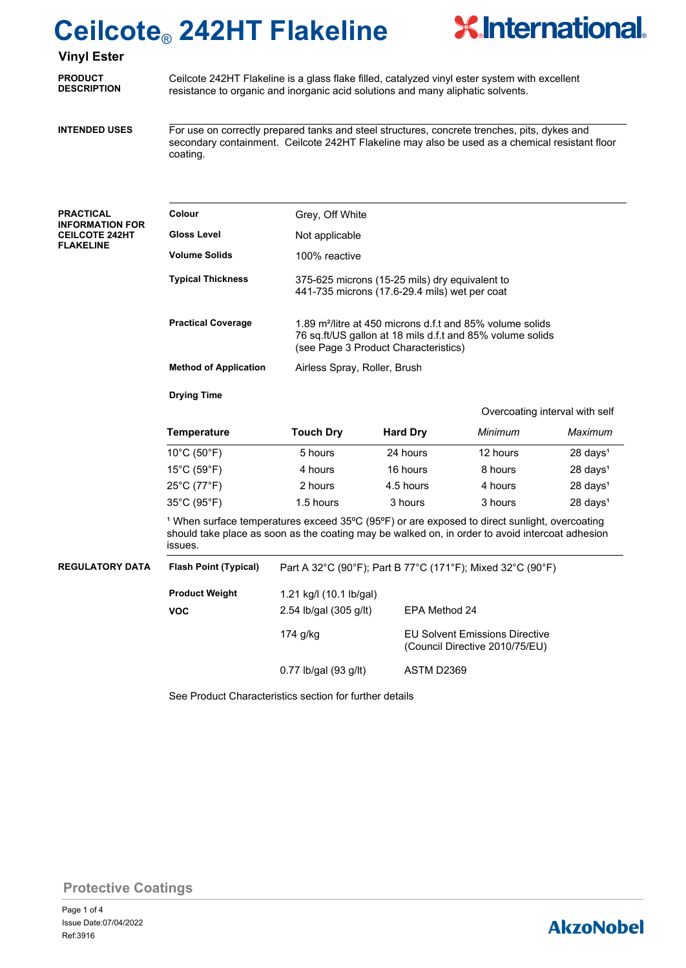

## **Vinyl Ester**

**PRODUCT DESCRIPTION**

Ceilcote 242HT Flakeline is a glass flake filled, catalyzed vinyl ester system with excellent resistance to organic and inorganic acid solutions and many aliphatic solvents.

**INTENDED USES**

For use on correctly prepared tanks and steel structures, concrete trenches, pits, dykes and secondary containment. Ceilcote 242HT Flakeline may also be used as a chemical resistant floor coating.

| PRACTICAL              |
|------------------------|
| <b>INFORMATION FOR</b> |
| <b>CEILCOTE 242HT</b>  |
| <b>FLAKELINE</b>       |

| Colour                       | Grey, Off White                                                                                                                                                            |
|------------------------------|----------------------------------------------------------------------------------------------------------------------------------------------------------------------------|
| Gloss Level                  | Not applicable                                                                                                                                                             |
| Volume Solids                | 100% reactive                                                                                                                                                              |
| <b>Typical Thickness</b>     | 375-625 microns (15-25 mils) dry equivalent to<br>441-735 microns (17.6-29.4 mils) wet per coat                                                                            |
| <b>Practical Coverage</b>    | 1.89 m <sup>2</sup> /litre at 450 microns d.f.t and 85% volume solids<br>76 sq.ft/US gallon at 18 mils d.f.t and 85% volume solids<br>(see Page 3 Product Characteristics) |
| <b>Method of Application</b> | Airless Spray, Roller, Brush                                                                                                                                               |

**Drying Time**

Overcoating interval with self

| <b>Temperature</b>               | <b>Touch Dry</b> | <b>Hard Dry</b> | Minimum  | Maximum             |
|----------------------------------|------------------|-----------------|----------|---------------------|
| $10^{\circ}$ C (50 $^{\circ}$ F) | 5 hours          | 24 hours        | 12 hours | $28 \text{ days}^1$ |
| $15^{\circ}$ C (59 $^{\circ}$ F) | 4 hours          | 16 hours        | 8 hours  | $28 \text{ days}^1$ |
| 25°C (77°F)                      | 2 hours          | 4.5 hours       | 4 hours  | $28 \text{ days}^1$ |
| 35°C (95°F)                      | 1.5 hours        | 3 hours         | 3 hours  | $28 \text{ days}^1$ |

<sup>1</sup> When surface temperatures exceed 35°C (95°F) or are exposed to direct sunlight, overcoating should take place as soon as the coating may be walked on, in order to avoid intercoat adhesion issues.

| REGULATORY DATA | <b>Flash Point (Typical)</b> | Part A 32°C (90°F); Part B 77°C (171°F); Mixed 32°C (90°F) |                                                                         |  |  |
|-----------------|------------------------------|------------------------------------------------------------|-------------------------------------------------------------------------|--|--|
|                 | <b>Product Weight</b>        | 1.21 kg/l (10.1 lb/gal)                                    |                                                                         |  |  |
|                 | <b>VOC</b>                   | 2.54 lb/gal $(305 \text{ g/lt})$                           | EPA Method 24                                                           |  |  |
|                 |                              | 174 g/kg                                                   | <b>EU Solvent Emissions Directive</b><br>(Council Directive 2010/75/EU) |  |  |
|                 |                              | $0.77$ lb/gal (93 g/lt)                                    | ASTM D2369                                                              |  |  |

See Product Characteristics section for further details

**Protective Coatings**

# **AkzoNobel**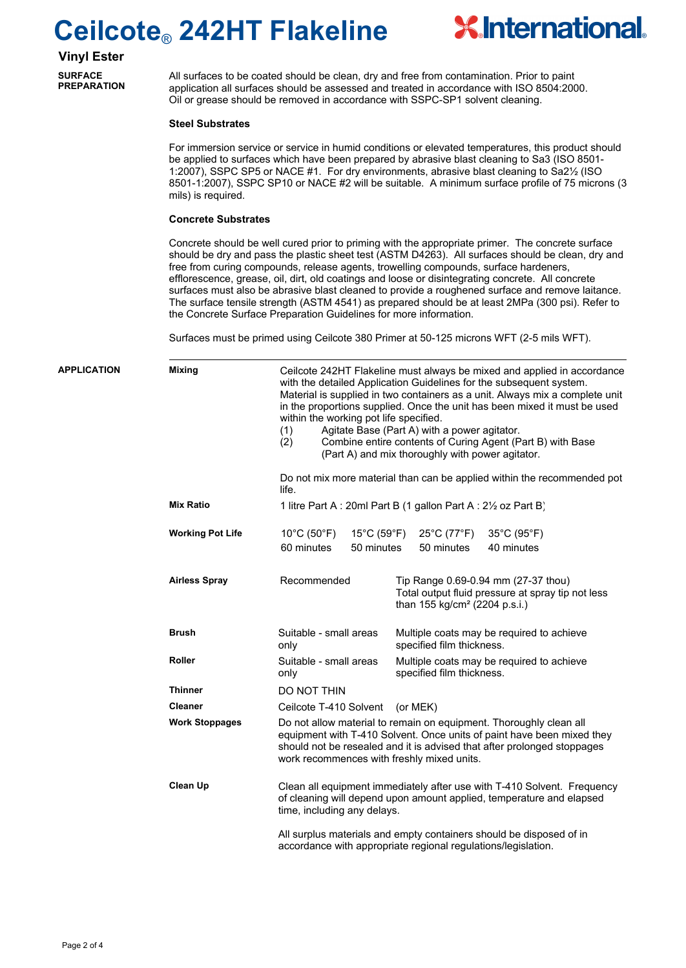

**Vinyl Ester SURFACE** 

**PREPARATION**

All surfaces to be coated should be clean, dry and free from contamination. Prior to paint application all surfaces should be assessed and treated in accordance with ISO 8504:2000. Oil or grease should be removed in accordance with SSPC-SP1 solvent cleaning.

### **Steel Substrates**

For immersion service or service in humid conditions or elevated temperatures, this product should be applied to surfaces which have been prepared by abrasive blast cleaning to Sa3 (ISO 8501- 1:2007), SSPC SP5 or NACE #1. For dry environments, abrasive blast cleaning to Sa2½ (ISO 8501-1:2007), SSPC SP10 or NACE #2 will be suitable. A minimum surface profile of 75 microns (3 mils) is required.

### **Concrete Substrates**

Concrete should be well cured prior to priming with the appropriate primer. The concrete surface should be dry and pass the plastic sheet test (ASTM D4263). All surfaces should be clean, dry and free from curing compounds, release agents, trowelling compounds, surface hardeners, efflorescence, grease, oil, dirt, old coatings and loose or disintegrating concrete. All concrete surfaces must also be abrasive blast cleaned to provide a roughened surface and remove laitance. The surface tensile strength (ASTM 4541) as prepared should be at least 2MPa (300 psi). Refer to the Concrete Surface Preparation Guidelines for more information.

Surfaces must be primed using Ceilcote 380 Primer at 50-125 microns WFT (2-5 mils WFT).

| <b>APPLICATION</b> | <b>Mixing</b>           | Ceilcote 242HT Flakeline must always be mixed and applied in accordance<br>with the detailed Application Guidelines for the subsequent system.<br>Material is supplied in two containers as a unit. Always mix a complete unit<br>in the proportions supplied. Once the unit has been mixed it must be used<br>within the working pot life specified.<br>Agitate Base (Part A) with a power agitator.<br>(1)<br>(2)<br>Combine entire contents of Curing Agent (Part B) with Base<br>(Part A) and mix thoroughly with power agitator. |                                                                                                                                       |  |  |  |
|--------------------|-------------------------|---------------------------------------------------------------------------------------------------------------------------------------------------------------------------------------------------------------------------------------------------------------------------------------------------------------------------------------------------------------------------------------------------------------------------------------------------------------------------------------------------------------------------------------|---------------------------------------------------------------------------------------------------------------------------------------|--|--|--|
|                    |                         | life.                                                                                                                                                                                                                                                                                                                                                                                                                                                                                                                                 | Do not mix more material than can be applied within the recommended pot                                                               |  |  |  |
|                    | <b>Mix Ratio</b>        |                                                                                                                                                                                                                                                                                                                                                                                                                                                                                                                                       | 1 litre Part A : 20ml Part B (1 gallon Part A : 21/2 oz Part B)                                                                       |  |  |  |
|                    | <b>Working Pot Life</b> | $10^{\circ}$ C (50 $^{\circ}$ F)<br>15°C (59°F)<br>60 minutes<br>50 minutes                                                                                                                                                                                                                                                                                                                                                                                                                                                           | 25°C (77°F)<br>$35^{\circ}$ C (95 $^{\circ}$ F)<br>50 minutes<br>40 minutes                                                           |  |  |  |
|                    | <b>Airless Spray</b>    | Recommended                                                                                                                                                                                                                                                                                                                                                                                                                                                                                                                           | Tip Range 0.69-0.94 mm (27-37 thou)<br>Total output fluid pressure at spray tip not less<br>than 155 kg/cm <sup>2</sup> (2204 p.s.i.) |  |  |  |
|                    | <b>Brush</b>            | Suitable - small areas<br>only                                                                                                                                                                                                                                                                                                                                                                                                                                                                                                        | Multiple coats may be required to achieve<br>specified film thickness.                                                                |  |  |  |
|                    | Roller                  | Suitable - small areas<br>only                                                                                                                                                                                                                                                                                                                                                                                                                                                                                                        | Multiple coats may be required to achieve<br>specified film thickness.                                                                |  |  |  |
|                    | <b>Thinner</b>          | DO NOT THIN                                                                                                                                                                                                                                                                                                                                                                                                                                                                                                                           |                                                                                                                                       |  |  |  |
|                    | <b>Cleaner</b>          | Ceilcote T-410 Solvent                                                                                                                                                                                                                                                                                                                                                                                                                                                                                                                | (or MEK)                                                                                                                              |  |  |  |
|                    | <b>Work Stoppages</b>   | Do not allow material to remain on equipment. Thoroughly clean all<br>equipment with T-410 Solvent. Once units of paint have been mixed they<br>should not be resealed and it is advised that after prolonged stoppages<br>work recommences with freshly mixed units.                                                                                                                                                                                                                                                                 |                                                                                                                                       |  |  |  |
|                    | <b>Clean Up</b>         | Clean all equipment immediately after use with T-410 Solvent. Frequency<br>of cleaning will depend upon amount applied, temperature and elapsed<br>time, including any delays.<br>All surplus materials and empty containers should be disposed of in<br>accordance with appropriate regional regulations/legislation.                                                                                                                                                                                                                |                                                                                                                                       |  |  |  |
|                    |                         |                                                                                                                                                                                                                                                                                                                                                                                                                                                                                                                                       |                                                                                                                                       |  |  |  |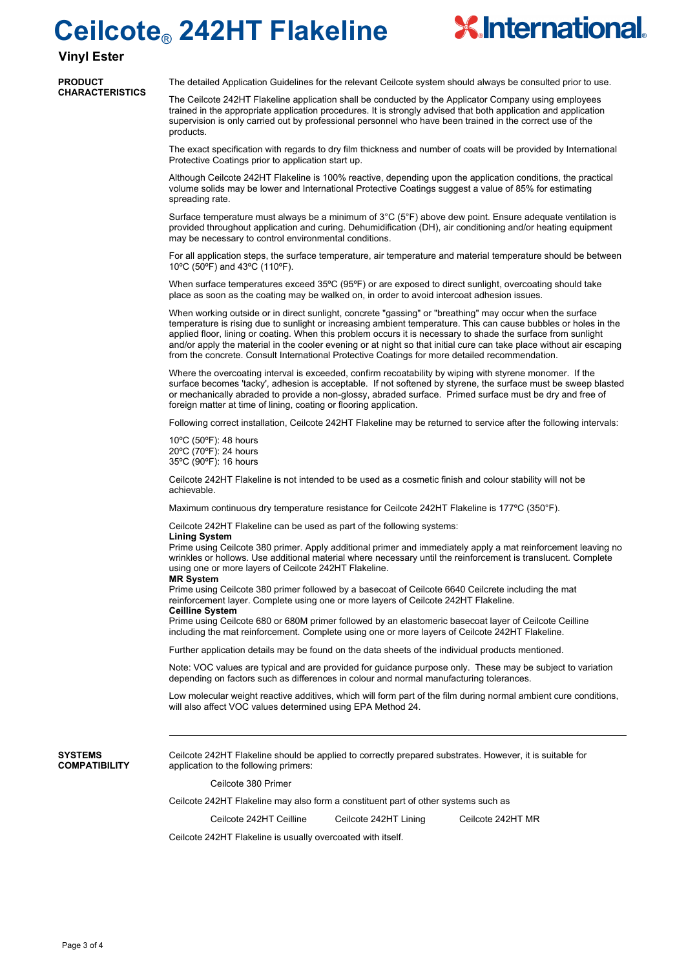

### **Vinyl Ester**

**PRODUCT CHARACTERISTICS**

The detailed Application Guidelines for the relevant Ceilcote system should always be consulted prior to use.

The Ceilcote 242HT Flakeline application shall be conducted by the Applicator Company using employees trained in the appropriate application procedures. It is strongly advised that both application and application supervision is only carried out by professional personnel who have been trained in the correct use of the products.

The exact specification with regards to dry film thickness and number of coats will be provided by International Protective Coatings prior to application start up.

Although Ceilcote 242HT Flakeline is 100% reactive, depending upon the application conditions, the practical volume solids may be lower and International Protective Coatings suggest a value of 85% for estimating spreading rate

Surface temperature must always be a minimum of  $3^{\circ}C$  ( $5^{\circ}F$ ) above dew point. Ensure adequate ventilation is provided throughout application and curing. Dehumidification (DH), air conditioning and/or heating equipment may be necessary to control environmental conditions.

For all application steps, the surface temperature, air temperature and material temperature should be between 10ºC (50ºF) and 43ºC (110ºF).

When surface temperatures exceed 35°C (95°F) or are exposed to direct sunlight, overcoating should take place as soon as the coating may be walked on, in order to avoid intercoat adhesion issues.

When working outside or in direct sunlight, concrete "gassing" or "breathing" may occur when the surface temperature is rising due to sunlight or increasing ambient temperature. This can cause bubbles or holes in the applied floor, lining or coating. When this problem occurs it is necessary to shade the surface from sunlight and/or apply the material in the cooler evening or at night so that initial cure can take place without air escaping from the concrete. Consult International Protective Coatings for more detailed recommendation.

Where the overcoating interval is exceeded, confirm recoatability by wiping with styrene monomer. If the surface becomes 'tacky', adhesion is acceptable. If not softened by styrene, the surface must be sweep blasted or mechanically abraded to provide a non-glossy, abraded surface. Primed surface must be dry and free of foreign matter at time of lining, coating or flooring application.

Following correct installation, Ceilcote 242HT Flakeline may be returned to service after the following intervals:

10ºC (50ºF): 48 hours 20ºC (70ºF): 24 hours 35ºC (90ºF): 16 hours

Ceilcote 242HT Flakeline is not intended to be used as a cosmetic finish and colour stability will not be achievable.

Maximum continuous dry temperature resistance for Ceilcote 242HT Flakeline is 177ºC (350°F).

Ceilcote 242HT Flakeline can be used as part of the following systems:

#### **Lining System**

Prime using Ceilcote 380 primer. Apply additional primer and immediately apply a mat reinforcement leaving no wrinkles or hollows. Use additional material where necessary until the reinforcement is translucent. Complete using one or more layers of Ceilcote 242HT Flakeline.

#### **MR System**

Prime using Ceilcote 380 primer followed by a basecoat of Ceilcote 6640 Ceilcrete including the mat reinforcement layer. Complete using one or more layers of Ceilcote 242HT Flakeline.

#### **Ceilline System**

Prime using Ceilcote 680 or 680M primer followed by an elastomeric basecoat layer of Ceilcote Ceilline including the mat reinforcement. Complete using one or more layers of Ceilcote 242HT Flakeline.

Further application details may be found on the data sheets of the individual products mentioned.

Note: VOC values are typical and are provided for guidance purpose only. These may be subject to variation depending on factors such as differences in colour and normal manufacturing tolerances.

Low molecular weight reactive additives, which will form part of the film during normal ambient cure conditions, will also affect VOC values determined using EPA Method 24.

**SYSTEMS COMPATIBILITY** Ceilcote 242HT Flakeline should be applied to correctly prepared substrates. However, it is suitable for application to the following primers:

Ceilcote 380 Primer

Ceilcote 242HT Flakeline may also form a constituent part of other systems such as

Ceilcote 242HT Ceilline Ceilcote 242HT Lining Ceilcote 242HT MR

Ceilcote 242HT Flakeline is usually overcoated with itself.